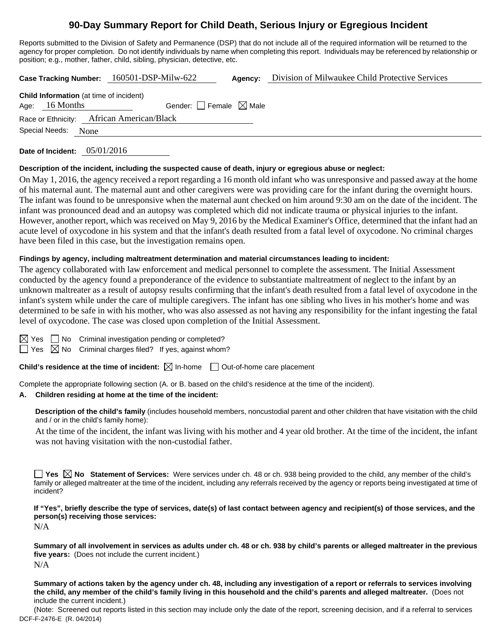# **90-Day Summary Report for Child Death, Serious Injury or Egregious Incident**

Reports submitted to the Division of Safety and Permanence (DSP) that do not include all of the required information will be returned to the agency for proper completion. Do not identify individuals by name when completing this report. Individuals may be referenced by relationship or position; e.g., mother, father, child, sibling, physician, detective, etc.

**Case Tracking Number:** 160501-DSP-Milw-622 **Agency:** Division of Milwaukee Child Protective Services

| <b>Child Information</b> (at time of incident) |                  |  |                                 |  |  |  |  |  |  |
|------------------------------------------------|------------------|--|---------------------------------|--|--|--|--|--|--|
|                                                | Age: $16$ Months |  | Gender: Female $\boxtimes$ Male |  |  |  |  |  |  |
| Race or Ethnicity: African American/Black      |                  |  |                                 |  |  |  |  |  |  |
| Special Needs: None                            |                  |  |                                 |  |  |  |  |  |  |
|                                                |                  |  |                                 |  |  |  |  |  |  |

**Date of Incident:** 05/01/2016

#### **Description of the incident, including the suspected cause of death, injury or egregious abuse or neglect:**

On May 1, 2016, the agency received a report regarding a 16 month old infant who was unresponsive and passed away at the home of his maternal aunt. The maternal aunt and other caregivers were was providing care for the infant during the overnight hours. The infant was found to be unresponsive when the maternal aunt checked on him around 9:30 am on the date of the incident. The infant was pronounced dead and an autopsy was completed which did not indicate trauma or physical injuries to the infant. However, another report, which was received on May 9, 2016 by the Medical Examiner's Office, determined that the infant had an acute level of oxycodone in his system and that the infant's death resulted from a fatal level of oxycodone. No criminal charges have been filed in this case, but the investigation remains open.

## **Findings by agency, including maltreatment determination and material circumstances leading to incident:**

The agency collaborated with law enforcement and medical personnel to complete the assessment. The Initial Assessment conducted by the agency found a preponderance of the evidence to substantiate maltreatment of neglect to the infant by an unknown maltreater as a result of autopsy results confirming that the infant's death resulted from a fatal level of oxycodone in the infant's system while under the care of multiple caregivers. The infant has one sibling who lives in his mother's home and was determined to be safe in with his mother, who was also assessed as not having any responsibility for the infant ingesting the fatal level of oxycodone. The case was closed upon completion of the Initial Assessment.

 $\Box$  No Criminal investigation pending or completed?

 $\Box$  Yes  $\boxtimes$  No Criminal charges filed? If yes, against whom?

**Child's residence at the time of incident:**  $\boxtimes$  In-home  $\Box$  Out-of-home care placement

Complete the appropriate following section (A. or B. based on the child's residence at the time of the incident).

## **A. Children residing at home at the time of the incident:**

**Description of the child's family** (includes household members, noncustodial parent and other children that have visitation with the child and / or in the child's family home):

 At the time of the incident, the infant was living with his mother and 4 year old brother. At the time of the incident, the infant was not having visitation with the non-custodial father.

**Yes No Statement of Services:** Were services under ch. 48 or ch. 938 being provided to the child, any member of the child's family or alleged maltreater at the time of the incident, including any referrals received by the agency or reports being investigated at time of incident?

**If "Yes", briefly describe the type of services, date(s) of last contact between agency and recipient(s) of those services, and the person(s) receiving those services:**  N/A

**Summary of all involvement in services as adults under ch. 48 or ch. 938 by child's parents or alleged maltreater in the previous five years:** (Does not include the current incident.) N/A

**Summary of actions taken by the agency under ch. 48, including any investigation of a report or referrals to services involving the child, any member of the child's family living in this household and the child's parents and alleged maltreater.** (Does not include the current incident.)

DCF-F-2476-E (R. 04/2014) (Note: Screened out reports listed in this section may include only the date of the report, screening decision, and if a referral to services